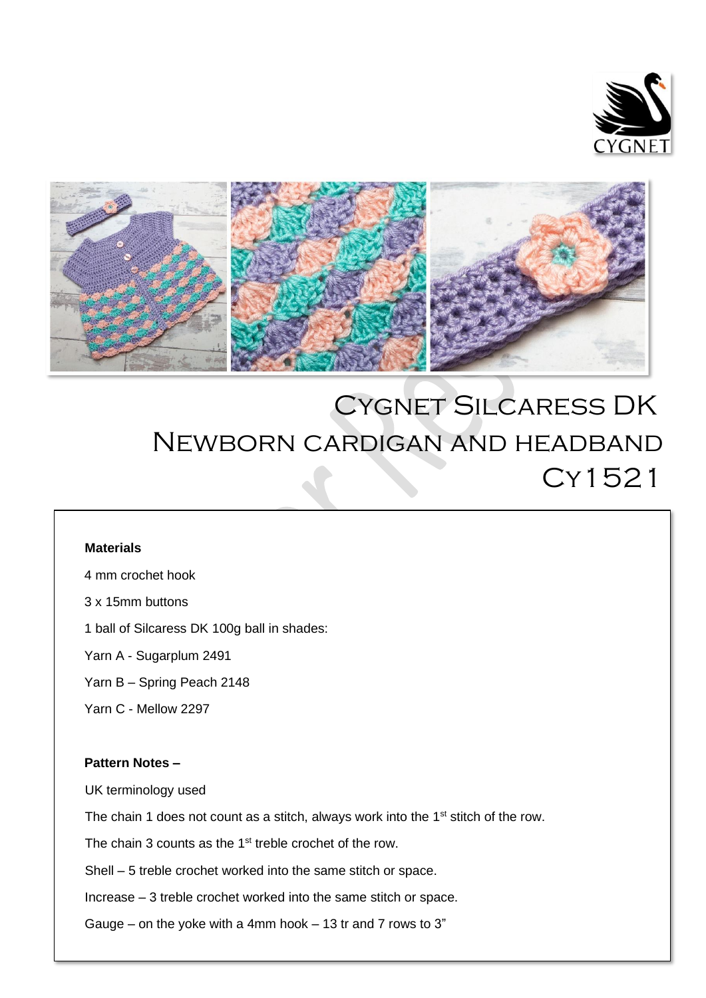



# Cygnet Silcaress DK Newborn cardigan and headband Cy1521  $\overline{a}$

## **Materials**

4 mm crochet hook

3 x 15mm buttons

1 ball of Silcaress DK 100g ball in shades:

Yarn A - Sugarplum 2491

Yarn B – Spring Peach 2148

Yarn C - Mellow 2297

## **Pattern Notes –**

UK terminology used

The chain 1 does not count as a stitch, always work into the 1<sup>st</sup> stitch of the row.

The chain 3 counts as the 1<sup>st</sup> treble crochet of the row.

Shell – 5 treble crochet worked into the same stitch or space.

Increase – 3 treble crochet worked into the same stitch or space.

Gauge – on the yoke with a 4mm hook – 13 tr and 7 rows to  $3"$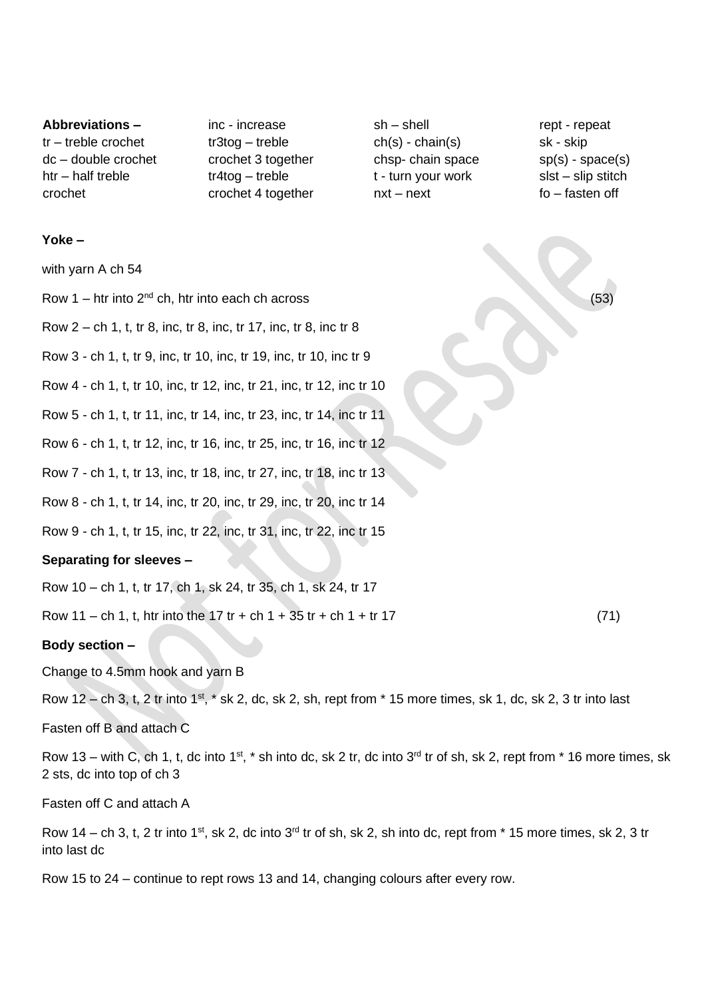**Abbreviations –** tr – treble crochet dc – double crochet htr – half treble crochet

inc - increase tr3tog – treble crochet 3 together tr4tog – treble crochet 4 together sh – shell ch(s) - chain(s) chsp- chain space t - turn your work nxt – next

rept - repeat sk - skip sp(s) - space(s) slst – slip stitch fo – fasten off

#### **Yoke –**

with yarn A ch 54

Row  $1 -$  htr into  $2^{nd}$  ch, htr into each ch across (53)

Row 2 – ch 1, t, tr 8, inc, tr 8, inc, tr 17, inc, tr 8, inc tr 8

Row 3 - ch 1, t, tr 9, inc, tr 10, inc, tr 19, inc, tr 10, inc tr 9

Row 4 - ch 1, t, tr 10, inc, tr 12, inc, tr 21, inc, tr 12, inc tr 10

Row 5 - ch 1, t, tr 11, inc, tr 14, inc, tr 23, inc, tr 14, inc tr 11

Row 6 - ch 1, t, tr 12, inc, tr 16, inc, tr 25, inc, tr 16, inc tr 12

Row 7 - ch 1, t, tr 13, inc, tr 18, inc, tr 27, inc, tr 18, inc tr 13

Row 8 - ch 1, t, tr 14, inc, tr 20, inc, tr 29, inc, tr 20, inc tr 14

Row 9 - ch 1, t, tr 15, inc, tr 22, inc, tr 31, inc, tr 22, inc tr 15

#### **Separating for sleeves –**

Row 10 – ch 1, t, tr 17, ch 1, sk 24, tr 35, ch 1, sk 24, tr 17

Row  $11 - ch 1$ , t, htr into the  $17$  tr + ch  $1 + 35$  tr + ch  $1 + tr 17$  (71)

### **Body section –**

Change to 4.5mm hook and yarn B

Row  $12$  – ch 3, t, 2 tr into  $1^{st}$ ,  $*$  sk 2, dc, sk 2, sh, rept from  $*$  15 more times, sk 1, dc, sk 2, 3 tr into last

Fasten off B and attach C

Row 13 – with C, ch 1, t, dc into 1<sup>st</sup>,  $*$  sh into dc, sk 2 tr, dc into 3<sup>rd</sup> tr of sh, sk 2, rept from  $*$  16 more times, sk 2 sts, dc into top of ch 3

Fasten off C and attach A

Row 14 – ch 3, t, 2 tr into 1<sup>st</sup>, sk 2, dc into 3<sup>rd</sup> tr of sh, sk 2, sh into dc, rept from  $*$  15 more times, sk 2, 3 tr into last dc

Row 15 to 24 – continue to rept rows 13 and 14, changing colours after every row.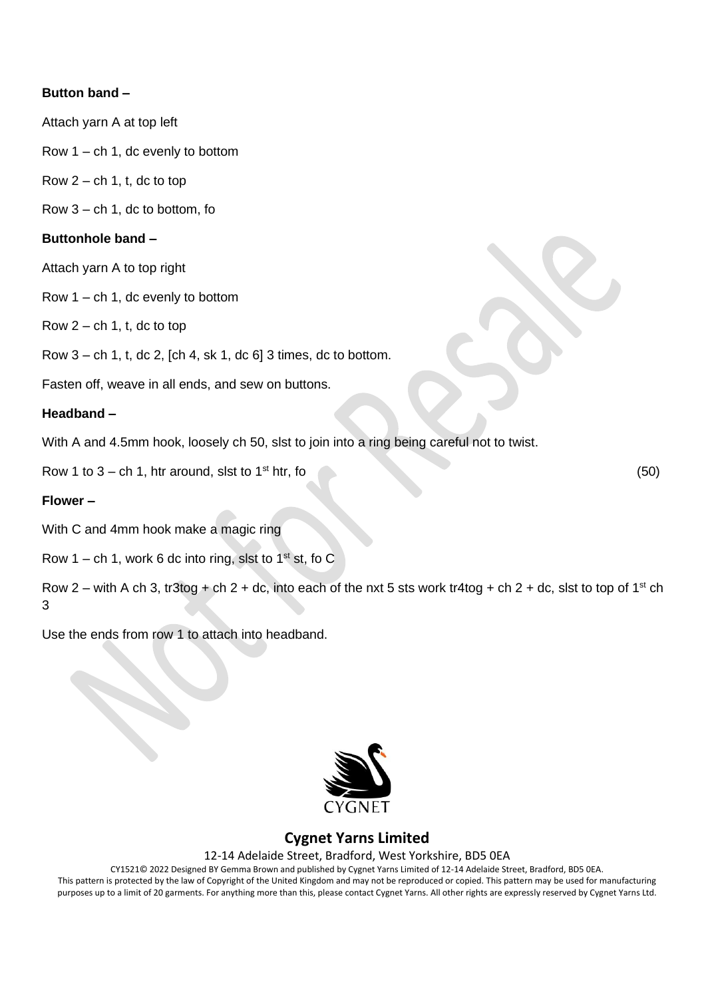## **Button band –**

Attach yarn A at top left

Row 1 – ch 1, dc evenly to bottom

Row  $2 - ch 1$ , t, dc to top

Row  $3 - ch 1$ , dc to bottom, fo

### **Buttonhole band –**

Attach yarn A to top right

Row 1 – ch 1, dc evenly to bottom

Row  $2 - ch 1$ , t, dc to top

Row 3 – ch 1, t, dc 2, [ch 4, sk 1, dc 6] 3 times, dc to bottom.

Fasten off, weave in all ends, and sew on buttons.

## **Headband –**

With A and 4.5mm hook, loosely ch 50, slst to join into a ring being careful not to twist.

Row 1 to  $3 - ch 1$ , htr around, slst to  $1<sup>st</sup>$  htr, fo (50)

#### **Flower –**

With C and 4mm hook make a magic ring

Row 1 – ch 1, work 6 dc into ring, slst to  $1<sup>st</sup>$  st, fo C

Row 2 – with A ch 3, tr3tog + ch 2 + dc, into each of the nxt 5 sts work tr4tog + ch 2 + dc, slst to top of 1<sup>st</sup> ch 3

Use the ends from row 1 to attach into headband.



## **Cygnet Yarns Limited**

12-14 Adelaide Street, Bradford, West Yorkshire, BD5 0EA

CY1521© 2022 Designed BY Gemma Brown and published by Cygnet Yarns Limited of 12-14 Adelaide Street, Bradford, BD5 0EA. This pattern is protected by the law of Copyright of the United Kingdom and may not be reproduced or copied. This pattern may be used for manufacturing purposes up to a limit of 20 garments. For anything more than this, please contact Cygnet Yarns. All other rights are expressly reserved by Cygnet Yarns Ltd.